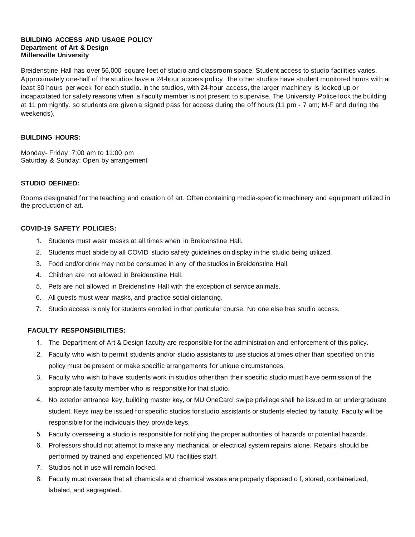#### **BUILDING ACCESS AND USAGE POLICY Department of Art & Design Millersville University**

Breidenstine Hall has over 56,000 square feet of studio and classroom space. Student access to studio facilities varies. Approximately one-half of the studios have a 24-hour access policy. The other studios have student monitored hours with at least 30 hours per week for each studio. In the studios, with 24-hour access, the larger machinery is locked up or incapacitated for safety reasons when a faculty member is not present to supervise. The University Police lock the building at 11 pm nightly, so students are given a signed pass for access during the off hours (11 pm - 7 am; M-F and during the weekends).

## **BUILDING HOURS:**

Monday- Friday: 7:00 am to 11:00 pm Saturday & Sunday: Open by arrangement

#### **STUDIO DEFINED:**

Rooms designated for the teaching and creation of art. Often containing media-specific machinery and equipment utilized in the production of art.

## **COVID-19 SAFETY POLICIES:**

- 1. Students must wear masks at all times when in Breidenstine Hall.
- 2. Students must abide by all COVID studio safety guidelines on display in the studio being utilized.
- 3. Food and/or drink may not be consumed in any of the studios in Breidenstine Hall.
- 4. Children are not allowed in Breidenstine Hall.
- 5. Pets are not allowed in Breidenstine Hall with the exception of service animals.
- 6. All guests must wear masks, and practice social distancing.
- 7. Studio access is only for students enrolled in that particular course. No one else has studio access.

# **FACULTY RESPONSIBILITIES:**

- 1. The Department of Art & Design faculty are responsible for the administration and enforcement of this policy.
- 2. Faculty who wish to permit students and/or studio assistants to use studios at times other than specified on this policy must be present or make specific arrangements for unique circumstances.
- 3. Faculty who wish to have students work in studios other than their specific studio must have permission of the appropriate faculty member who is responsible for that studio.
- 4. No exterior entrance key, building master key, or MU OneCard swipe privilege shall be issued to an undergraduate student. Keys may be issued for specific studios for studio assistants or students elected by faculty. Faculty will be responsible for the individuals they provide keys.
- 5. Faculty overseeing a studio is responsible for notifying the proper authorities of hazards or potential hazards.
- 6. Professors should not attempt to make any mechanical or electrical system repairs alone. Repairs should be performed by trained and experienced MU facilities staff.
- 7. Studios not in use will remain locked.
- 8. Faculty must oversee that all chemicals and chemical wastes are properly disposed o f, stored, containerized, labeled, and segregated.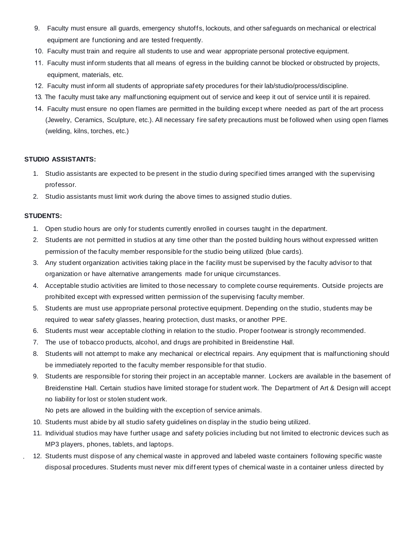- 9. Faculty must ensure all guards, emergency shutoffs, lockouts, and other safeguards on mechanical or electrical equipment are functioning and are tested frequently.
- 10. Faculty must train and require all students to use and wear appropriate personal protective equipment.
- 11. Faculty must inform students that all means of egress in the building cannot be blocked or obstructed by projects, equipment, materials, etc.
- 12. Faculty must inform all students of appropriate safety procedures for their lab/studio/process/discipline.
- 13. The faculty must take any malfunctioning equipment out of service and keep it out of service until it is repaired.
- 14. Faculty must ensure no open flames are permitted in the building excep t where needed as part of the art process (Jewelry, Ceramics, Sculpture, etc.). All necessary fire safety precautions must be followed when using open flames (welding, kilns, torches, etc.)

# **STUDIO ASSISTANTS:**

- 1. Studio assistants are expected to be present in the studio during specified times arranged with the supervising professor.
- 2. Studio assistants must limit work during the above times to assigned studio duties.

## **STUDENTS:**

.

- 1. Open studio hours are only for students currently enrolled in courses taught in the department.
- 2. Students are not permitted in studios at any time other than the posted building hours without expressed written permission of the faculty member responsible for the studio being utilized (blue cards).
- 3. Any student organization activities taking place in the facility must be supervised by the faculty advisor to that organization or have alternative arrangements made for unique circumstances.
- 4. Acceptable studio activities are limited to those necessary to complete course requirements. Outside projects are prohibited except with expressed written permission of the supervising faculty member.
- 5. Students are must use appropriate personal protective equipment. Depending on the studio, students may be required to wear safety glasses, hearing protection, dust masks, or another PPE.
- 6. Students must wear acceptable clothing in relation to the studio. Proper footwear is strongly recommended.
- 7. The use of tobacco products, alcohol, and drugs are prohibited in Breidenstine Hall.
- 8. Students will not attempt to make any mechanical or electrical repairs. Any equipment that is malfunctioning should be immediately reported to the faculty member responsible for that studio.
- 9. Students are responsible for storing their project in an acceptable manner. Lockers are available in the basement of Breidenstine Hall. Certain studios have limited storage for student work. The Department of Art & Design will accept no liability for lost or stolen student work.

No pets are allowed in the building with the exception of service animals.

- 10. Students must abide by all studio safety guidelines on display in the studio being utilized.
- 11. Individual studios may have further usage and safety policies including but not limited to electronic devices such as MP3 players, phones, tablets, and laptops.
- 12. Students must dispose of any chemical waste in approved and labeled waste containers following specific waste disposal procedures. Students must never mix diff erent types of chemical waste in a container unless directed by